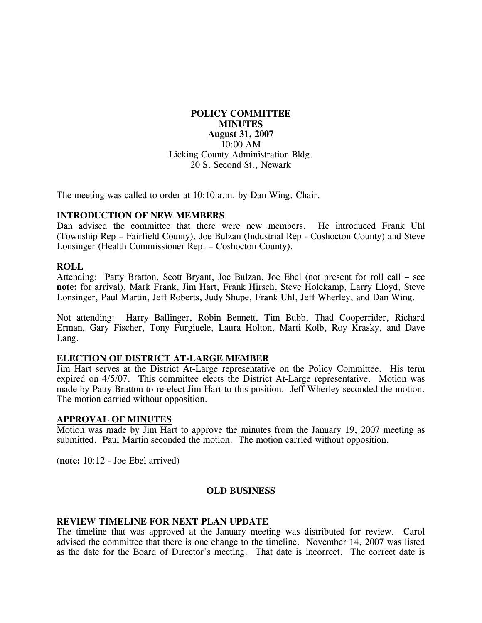# **POLICY COMMITTEE MINUTES August 31, 2007**  10:00 AM Licking County Administration Bldg. 20 S. Second St., Newark

The meeting was called to order at 10:10 a.m. by Dan Wing, Chair.

### **INTRODUCTION OF NEW MEMBERS**

Dan advised the committee that there were new members. He introduced Frank Uhl (Township Rep – Fairfield County), Joe Bulzan (Industrial Rep - Coshocton County) and Steve Lonsinger (Health Commissioner Rep. – Coshocton County).

### **ROLL**

Attending: Patty Bratton, Scott Bryant, Joe Bulzan, Joe Ebel (not present for roll call – see **note:** for arrival), Mark Frank, Jim Hart, Frank Hirsch, Steve Holekamp, Larry Lloyd, Steve Lonsinger, Paul Martin, Jeff Roberts, Judy Shupe, Frank Uhl, Jeff Wherley, and Dan Wing.

Not attending: Harry Ballinger, Robin Bennett, Tim Bubb, Thad Cooperrider, Richard Erman, Gary Fischer, Tony Furgiuele, Laura Holton, Marti Kolb, Roy Krasky, and Dave Lang.

#### **ELECTION OF DISTRICT AT-LARGE MEMBER**

Jim Hart serves at the District At-Large representative on the Policy Committee. His term expired on 4/5/07. This committee elects the District At-Large representative. Motion was made by Patty Bratton to re-elect Jim Hart to this position. Jeff Wherley seconded the motion. The motion carried without opposition.

#### **APPROVAL OF MINUTES**

Motion was made by Jim Hart to approve the minutes from the January 19, 2007 meeting as submitted. Paul Martin seconded the motion. The motion carried without opposition.

(**note:** 10:12 - Joe Ebel arrived)

#### **OLD BUSINESS**

#### **REVIEW TIMELINE FOR NEXT PLAN UPDATE**

The timeline that was approved at the January meeting was distributed for review. Carol advised the committee that there is one change to the timeline. November 14, 2007 was listed as the date for the Board of Director's meeting. That date is incorrect. The correct date is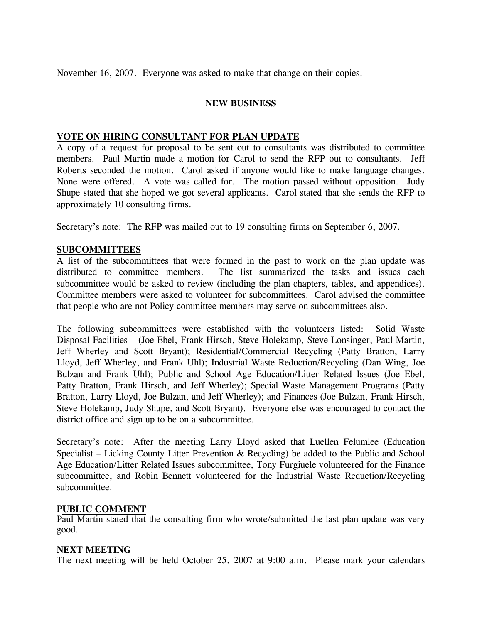November 16, 2007. Everyone was asked to make that change on their copies.

# **NEW BUSINESS**

# **VOTE ON HIRING CONSULTANT FOR PLAN UPDATE**

A copy of a request for proposal to be sent out to consultants was distributed to committee members. Paul Martin made a motion for Carol to send the RFP out to consultants. Jeff Roberts seconded the motion. Carol asked if anyone would like to make language changes. None were offered. A vote was called for. The motion passed without opposition. Judy Shupe stated that she hoped we got several applicants. Carol stated that she sends the RFP to approximately 10 consulting firms.

Secretary's note: The RFP was mailed out to 19 consulting firms on September 6, 2007.

# **SUBCOMMITTEES**

A list of the subcommittees that were formed in the past to work on the plan update was distributed to committee members. The list summarized the tasks and issues each subcommittee would be asked to review (including the plan chapters, tables, and appendices). Committee members were asked to volunteer for subcommittees. Carol advised the committee that people who are not Policy committee members may serve on subcommittees also.

The following subcommittees were established with the volunteers listed: Solid Waste Disposal Facilities – (Joe Ebel, Frank Hirsch, Steve Holekamp, Steve Lonsinger, Paul Martin, Jeff Wherley and Scott Bryant); Residential/Commercial Recycling (Patty Bratton, Larry Lloyd, Jeff Wherley, and Frank Uhl); Industrial Waste Reduction/Recycling (Dan Wing, Joe Bulzan and Frank Uhl); Public and School Age Education/Litter Related Issues (Joe Ebel, Patty Bratton, Frank Hirsch, and Jeff Wherley); Special Waste Management Programs (Patty Bratton, Larry Lloyd, Joe Bulzan, and Jeff Wherley); and Finances (Joe Bulzan, Frank Hirsch, Steve Holekamp, Judy Shupe, and Scott Bryant). Everyone else was encouraged to contact the district office and sign up to be on a subcommittee.

Secretary's note: After the meeting Larry Lloyd asked that Luellen Felumlee (Education Specialist – Licking County Litter Prevention & Recycling) be added to the Public and School Age Education/Litter Related Issues subcommittee, Tony Furgiuele volunteered for the Finance subcommittee, and Robin Bennett volunteered for the Industrial Waste Reduction/Recycling subcommittee.

### **PUBLIC COMMENT**

Paul Martin stated that the consulting firm who wrote/submitted the last plan update was very good.

### **NEXT MEETING**

The next meeting will be held October 25, 2007 at 9:00 a.m. Please mark your calendars